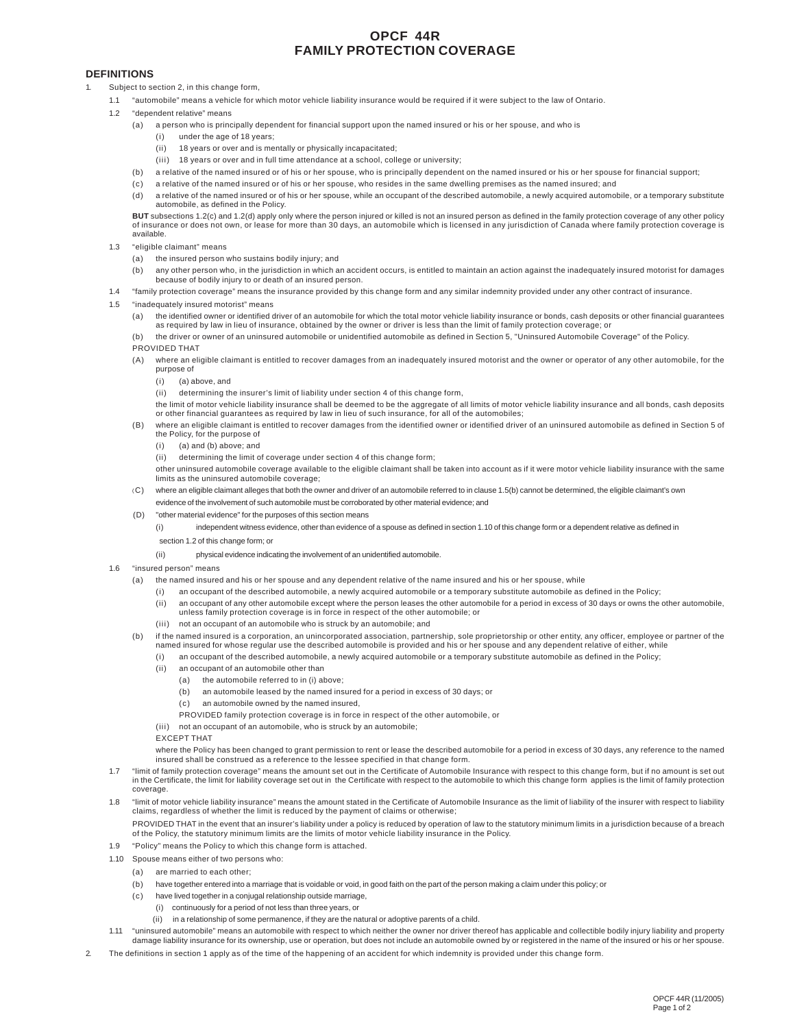# **OPCF 44R FAMILY PROTECTION COVERAGE**

## **DEFINITIONS**

- Subject to section 2, in this change form,
	- 1.1 "automobile" means a vehicle for which motor vehicle liability insurance would be required if it were subject to the law of Ontario.
	- 1.2 "dependent relative" means
		- (a) a person who is principally dependent for financial support upon the named insured or his or her spouse, and who is
			- (i) under the age of 18 years;
			- (ii) 18 years or over and is mentally or physically incapacitated;
			- $(iii)$  18 years or over and in full time attendance at a school, college or university;
		- (b) a relative of the named insured or of his or her spouse, who is principally dependent on the named insured or his or her spouse for financial support;
		- (c) a relative of the named insured or of his or her spouse, who resides in the same dwelling premises as the named insured; and
		- (d) a relative of the named insured or of his or her spouse, while an occupant of the described automobile, a newly acquired automobile, or a temporary substitute automobile, as defined in the Policy.

**BUT** subsections 1.2(c) and 1.2(d) apply only where the person injured or killed is not an insured person as defined in the family protection coverage of any other policy of insurance or does not own, or lease for more than 30 days, an automobile which is licensed in any jurisdiction of Canada where family protection coverage is available.

- 1.3 "eligible claimant" means
	- (a) the insured person who sustains bodily injury; and
	- (b) any other person who, in the jurisdiction in which an accident occurs, is entitled to maintain an action against the inadequately insured motorist for damages because of bodily injury to or death of an insured person.
- 1.4 "family protection coverage" means the insurance provided by this change form and any similar indemnity provided under any other contract of insurance.
- "inadequately insured motorist" means
	- (a) the identified owner or identified driver of an automobile for which the total motor vehicle liability insurance or bonds, cash deposits or other financial guarantees as required by law in lieu of insurance, obtained by the owner or driver is less than the limit of family protection coverage; or
	- (b) the driver or owner of an uninsured automobile or unidentified automobile as defined in Section 5, "Uninsured Automobile Coverage" of the Policy.
	- PROVIDED THAT
	- (A) where an eligible claimant is entitled to recover damages from an inadequately insured motorist and the owner or operator of any other automobile, for the purpose of
		- (i) (a) above, and
		- (ii) determining the insurer's limit of liability under section 4 of this change form,
		- the limit of motor vehicle liability insurance shall be deemed to be the aggregate of all limits of motor vehicle liability insurance and all bonds, cash deposits or other financial guarantees as required by law in lieu of such insurance, for all of the automobiles;
	- (B) where an eligible claimant is entitled to recover damages from the identified owner or identified driver of an uninsured automobile as defined in Section 5 of the Policy, for the purpose of
		- (i) (a) and (b) above; and
		- (ii) determining the limit of coverage under section 4 of this change form;
		- other uninsured automobile coverage available to the eligible claimant shall be taken into account as if it were motor vehicle liability insurance with the same limits as the uninsured automobile coverage;
	- (C) where an eligible claimant alleges that both the owner and driver of an automobile referred to in clause 1.5(b) cannot be determined, the eligible claimant's own evidence of the involvement of such automobile must be corroborated by other material evidence; and
	- (D) "other material evidence" for the purposes of this section means
		- (i) independent witness evidence, other than evidence of a spouse as defined in section 1.10 of this change form or a dependent relative as defined in section 1.2 of this change form; or
			-

(ii) physical evidence indicating the involvement of an unidentified automobile.

- 1.6 "insured person" means
	- (a) the named insured and his or her spouse and any dependent relative of the name insured and his or her spouse, while
		- (i) an occupant of the described automobile, a newly acquired automobile or a temporary substitute automobile as defined in the Policy;
		- (ii) an occupant of any other automobile except where the person leases the other automobile for a period in excess of 30 days or owns the other automobile, unless family protection coverage is in force in respect of the other automobile; or
		- (iii) not an occupant of an automobile who is struck by an automobile; and
	- (b) if the named insured is a corporation, an unincorporated association, partnership, sole proprietorship or other entity, any officer, employee or partner of the named insured for whose regular use the described automobile is provided and his or her spouse and any dependent relative of either, while
		- an occupant of the described automobile, a newly acquired automobile or a temporary substitute automobile as defined in the Policy;
		- (ii) an occupant of an automobile other than
			- (a) the automobile referred to in (i) above;
				- (b) an automobile leased by the named insured for a period in excess of 30 days; or
				- (c) an automobile owned by the named insured,
				- PROVIDED family protection coverage is in force in respect of the other automobile, or
		- (iii) not an occupant of an automobile, who is struck by an automobile;
		- EXCEPT THAT

where the Policy has been changed to grant permission to rent or lease the described automobile for a period in excess of 30 days, any reference to the named insured shall be construed as a reference to the lessee specified in that change form.

- 1.7 "limit of family protection coverage" means the amount set out in the Certificate of Automobile Insurance with respect to this change form, but if no amount is set out in the Certificate, the limit for liability coverage set out in the Certificate with respect to the automobile to which this change form applies is the limit of family protection coverage.
- 1.8 "limit of motor vehicle liability insurance" means the amount stated in the Certificate of Automobile Insurance as the limit of liability of the insurer with respect to liability claims, regardless of whether the limit is reduced by the payment of claims or otherwise;

PROVIDED THAT in the event that an insurer's liability under a policy is reduced by operation of law to the statutory minimum limits in a jurisdiction because of a breach of the Policy, the statutory minimum limits are the limits of motor vehicle liability insurance in the Policy.

- 1.9 "Policy" means the Policy to which this change form is attached.
- 1.10 Spouse means either of two persons who:
	- (a) are married to each other;
	- (b) have together entered into a marriage that is voidable or void, in good faith on the part of the person making a claim under this policy; or
	- (c) have lived together in a conjugal relationship outside marriage,
		- (i) continuously for a period of not less than three years, or
		- (ii) in a relationship of some permanence, if they are the natural or adoptive parents of a child.
- 1.11 "uninsured automobile" means an automobile with respect to which neither the owner nor driver thereof has applicable and collectible bodily injury liability and property damage liability insurance for its ownership, use or operation, but does not include an automobile owned by or registered in the name of the insured or his or her spouse.
- The definitions in section 1 apply as of the time of the happening of an accident for which indemnity is provided under this change form.